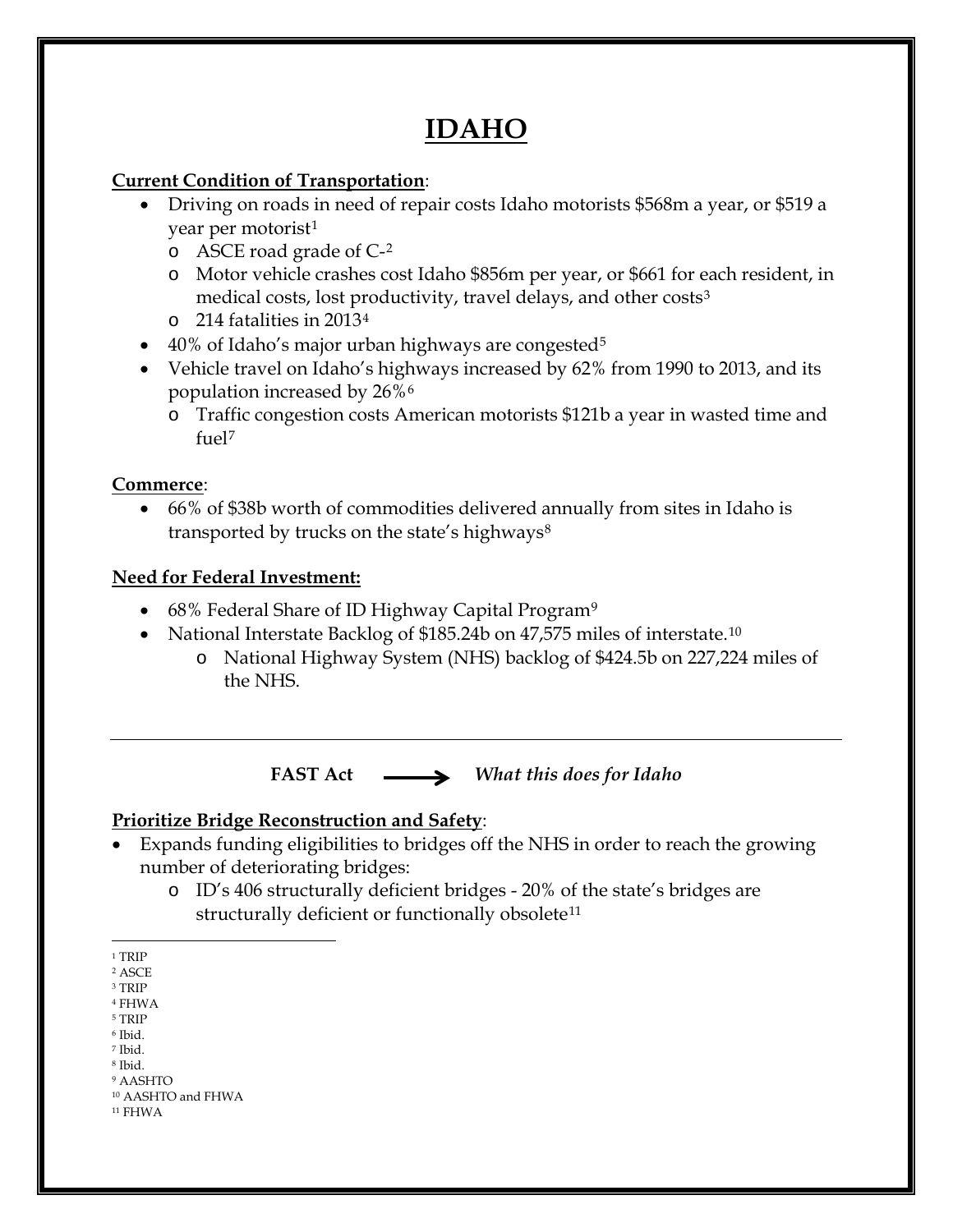# **IDAHO**

#### **Current Condition of Transportation**:

- Driving on roads in need of repair costs Idaho motorists \$568m a year, or \$519 a year per motorist<sup>[1](#page-0-0)</sup>
	- o ASCE road grade of C-[2](#page-0-1)
	- o Motor vehicle crashes cost Idaho \$856m per year, or \$661 for each resident, in medical costs, lost productivity, travel delays, and other costs<sup>[3](#page-0-2)</sup>
	- o 214 fatalities in 2013[4](#page-0-3)
- 40% of Idaho's major urban highways are congested<sup>[5](#page-0-4)</sup>
- Vehicle travel on Idaho's highways increased by 62% from 1990 to 2013, and its population increased by 26%[6](#page-0-5)
	- o Traffic congestion costs American motorists \$121b a year in wasted time and fuel[7](#page-0-6)

#### **Commerce**:

• 66% of \$38b worth of commodities delivered annually from sites in Idaho is transported by trucks on the state's highways<sup>[8](#page-0-7)</sup>

## **Need for Federal Investment:**

- 68% Federal Share of ID Highway Capital Program<sup>[9](#page-0-8)</sup>
- National Interstate Backlog of \$185.24b on 47,575 miles of interstate.<sup>[10](#page-0-9)</sup>
	- o National Highway System (NHS) backlog of \$424.5b on 227,224 miles of the NHS.

**FAST Act** *What this does for Idaho*

## **Prioritize Bridge Reconstruction and Safety**:

- Expands funding eligibilities to bridges off the NHS in order to reach the growing number of deteriorating bridges:
	- o ID's 406 structurally deficient bridges 20% of the state's bridges are structurally deficient or functionally obsolete<sup>[11](#page-0-10)</sup>

- <span id="page-0-2"></span><sup>3</sup> TRIP
- <span id="page-0-3"></span><sup>4</sup> FHWA <sup>5</sup> TRIP
- <span id="page-0-4"></span><sup>6</sup> Ibid.
- <span id="page-0-5"></span><sup>7</sup> Ibid.
- <span id="page-0-6"></span><sup>8</sup> Ibid.
- <span id="page-0-8"></span><span id="page-0-7"></span><sup>9</sup> AASHTO

<span id="page-0-10"></span> $^{\rm 11}$  FHWA

 $\overline{a}$  $^{\rm 1}$  TRIP

<span id="page-0-1"></span><span id="page-0-0"></span><sup>2</sup> ASCE

<span id="page-0-9"></span><sup>10</sup> AASHTO and FHWA